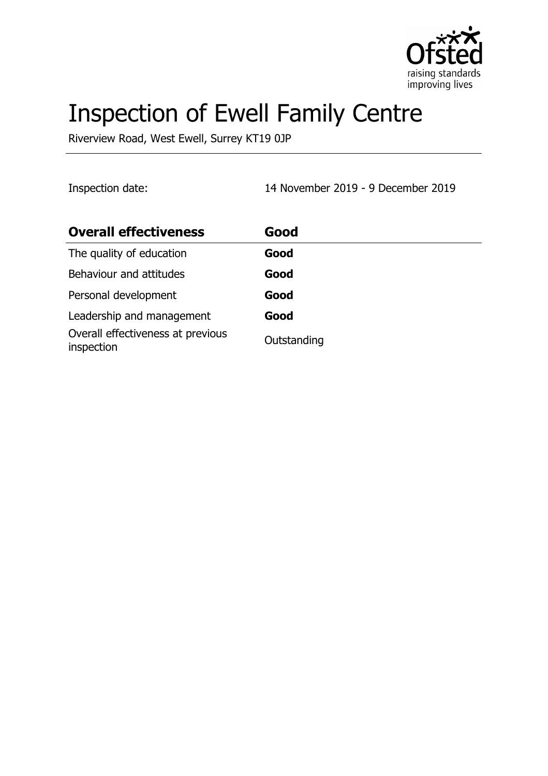

# Inspection of Ewell Family Centre

Riverview Road, West Ewell, Surrey KT19 0JP

Inspection date: 14 November 2019 - 9 December 2019

| <b>Overall effectiveness</b>                    | Good        |
|-------------------------------------------------|-------------|
| The quality of education                        | Good        |
| Behaviour and attitudes                         | Good        |
| Personal development                            | Good        |
| Leadership and management                       | Good        |
| Overall effectiveness at previous<br>inspection | Outstanding |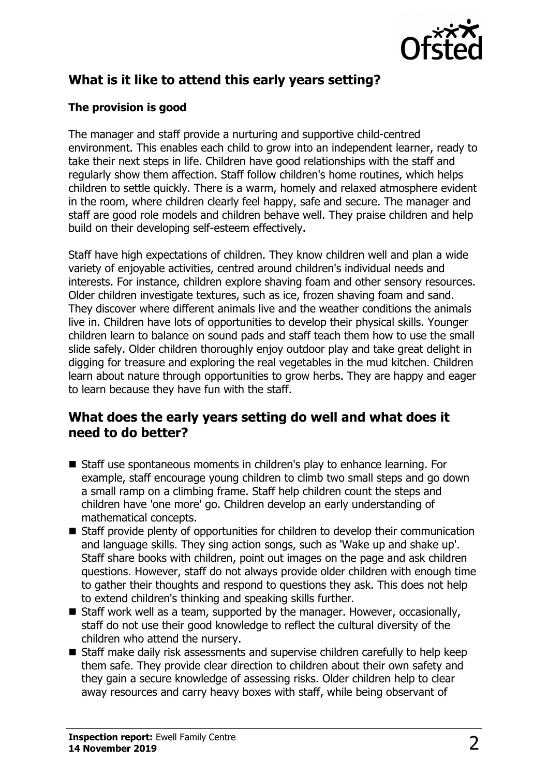

## **What is it like to attend this early years setting?**

#### **The provision is good**

The manager and staff provide a nurturing and supportive child-centred environment. This enables each child to grow into an independent learner, ready to take their next steps in life. Children have good relationships with the staff and regularly show them affection. Staff follow children's home routines, which helps children to settle quickly. There is a warm, homely and relaxed atmosphere evident in the room, where children clearly feel happy, safe and secure. The manager and staff are good role models and children behave well. They praise children and help build on their developing self-esteem effectively.

Staff have high expectations of children. They know children well and plan a wide variety of enjoyable activities, centred around children's individual needs and interests. For instance, children explore shaving foam and other sensory resources. Older children investigate textures, such as ice, frozen shaving foam and sand. They discover where different animals live and the weather conditions the animals live in. Children have lots of opportunities to develop their physical skills. Younger children learn to balance on sound pads and staff teach them how to use the small slide safely. Older children thoroughly enjoy outdoor play and take great delight in digging for treasure and exploring the real vegetables in the mud kitchen. Children learn about nature through opportunities to grow herbs. They are happy and eager to learn because they have fun with the staff.

#### **What does the early years setting do well and what does it need to do better?**

- Staff use spontaneous moments in children's play to enhance learning. For example, staff encourage young children to climb two small steps and go down a small ramp on a climbing frame. Staff help children count the steps and children have 'one more' go. Children develop an early understanding of mathematical concepts.
- $\blacksquare$  Staff provide plenty of opportunities for children to develop their communication and language skills. They sing action songs, such as 'Wake up and shake up'. Staff share books with children, point out images on the page and ask children questions. However, staff do not always provide older children with enough time to gather their thoughts and respond to questions they ask. This does not help to extend children's thinking and speaking skills further.
- $\blacksquare$  Staff work well as a team, supported by the manager. However, occasionally, staff do not use their good knowledge to reflect the cultural diversity of the children who attend the nursery.
- Staff make daily risk assessments and supervise children carefully to help keep them safe. They provide clear direction to children about their own safety and they gain a secure knowledge of assessing risks. Older children help to clear away resources and carry heavy boxes with staff, while being observant of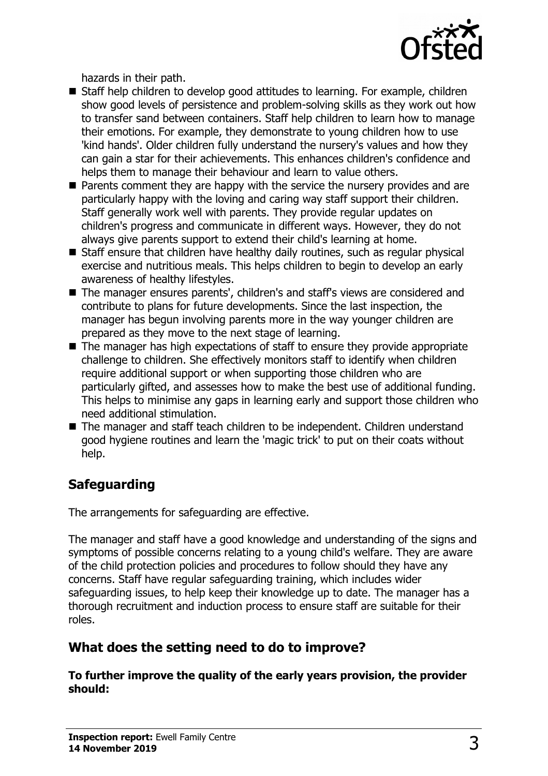

hazards in their path.

- Staff help children to develop good attitudes to learning. For example, children show good levels of persistence and problem-solving skills as they work out how to transfer sand between containers. Staff help children to learn how to manage their emotions. For example, they demonstrate to young children how to use 'kind hands'. Older children fully understand the nursery's values and how they can gain a star for their achievements. This enhances children's confidence and helps them to manage their behaviour and learn to value others.
- $\blacksquare$  Parents comment they are happy with the service the nursery provides and are particularly happy with the loving and caring way staff support their children. Staff generally work well with parents. They provide regular updates on children's progress and communicate in different ways. However, they do not always give parents support to extend their child's learning at home.
- $\blacksquare$  Staff ensure that children have healthy daily routines, such as regular physical exercise and nutritious meals. This helps children to begin to develop an early awareness of healthy lifestyles.
- The manager ensures parents', children's and staff's views are considered and contribute to plans for future developments. Since the last inspection, the manager has begun involving parents more in the way younger children are prepared as they move to the next stage of learning.
- $\blacksquare$  The manager has high expectations of staff to ensure they provide appropriate challenge to children. She effectively monitors staff to identify when children require additional support or when supporting those children who are particularly gifted, and assesses how to make the best use of additional funding. This helps to minimise any gaps in learning early and support those children who need additional stimulation.
- $\blacksquare$  The manager and staff teach children to be independent. Children understand good hygiene routines and learn the 'magic trick' to put on their coats without help.

## **Safeguarding**

The arrangements for safeguarding are effective.

The manager and staff have a good knowledge and understanding of the signs and symptoms of possible concerns relating to a young child's welfare. They are aware of the child protection policies and procedures to follow should they have any concerns. Staff have regular safeguarding training, which includes wider safeguarding issues, to help keep their knowledge up to date. The manager has a thorough recruitment and induction process to ensure staff are suitable for their roles.

## **What does the setting need to do to improve?**

**To further improve the quality of the early years provision, the provider should:**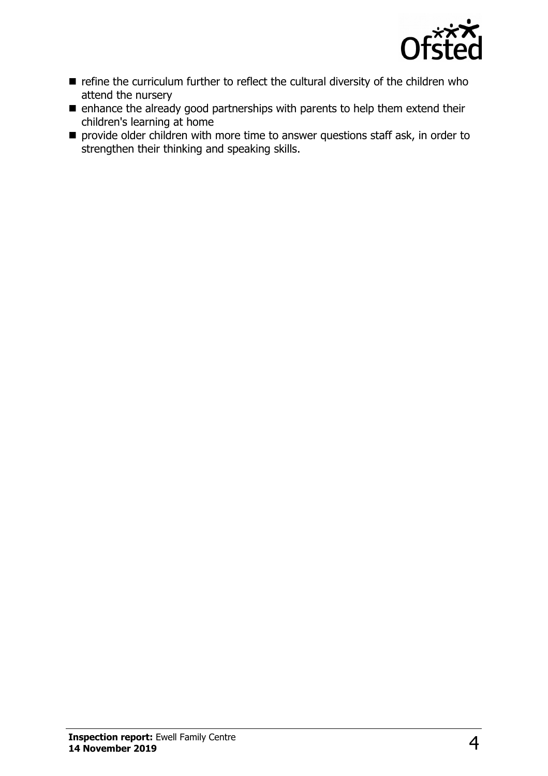

- $\blacksquare$  refine the curriculum further to reflect the cultural diversity of the children who attend the nursery
- $\blacksquare$  enhance the already good partnerships with parents to help them extend their children's learning at home
- $\blacksquare$  provide older children with more time to answer questions staff ask, in order to strengthen their thinking and speaking skills.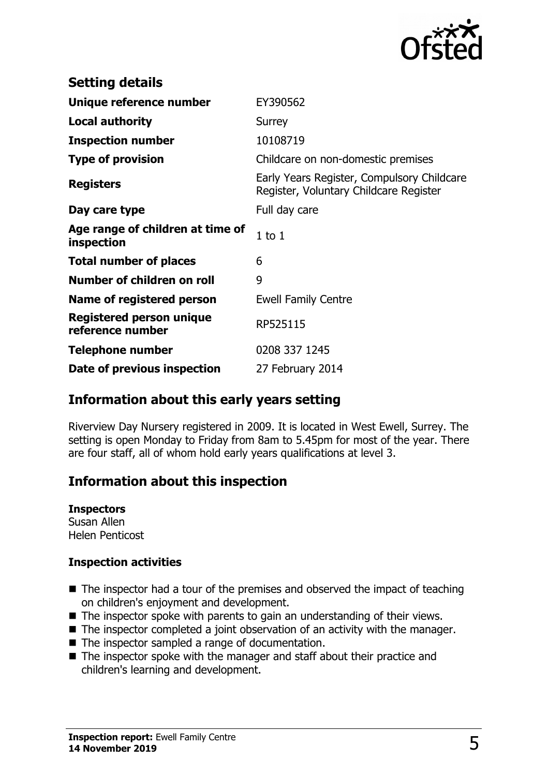

| <b>Setting details</b>                         |                                                                                      |
|------------------------------------------------|--------------------------------------------------------------------------------------|
| Unique reference number                        | EY390562                                                                             |
| <b>Local authority</b>                         | Surrey                                                                               |
| <b>Inspection number</b>                       | 10108719                                                                             |
| <b>Type of provision</b>                       | Childcare on non-domestic premises                                                   |
| <b>Registers</b>                               | Early Years Register, Compulsory Childcare<br>Register, Voluntary Childcare Register |
| Day care type                                  | Full day care                                                                        |
| Age range of children at time of<br>inspection | $1$ to $1$                                                                           |
| <b>Total number of places</b>                  | 6                                                                                    |
| Number of children on roll                     | 9                                                                                    |
| Name of registered person                      | <b>Ewell Family Centre</b>                                                           |
| Registered person unique<br>reference number   | RP525115                                                                             |
| <b>Telephone number</b>                        | 0208 337 1245                                                                        |
| Date of previous inspection                    | 27 February 2014                                                                     |

#### **Information about this early years setting**

Riverview Day Nursery registered in 2009. It is located in West Ewell, Surrey. The setting is open Monday to Friday from 8am to 5.45pm for most of the year. There are four staff, all of whom hold early years qualifications at level 3.

## **Information about this inspection**

#### **Inspectors**

Susan Allen Helen Penticost

#### **Inspection activities**

- $\blacksquare$  The inspector had a tour of the premises and observed the impact of teaching on children's enjoyment and development.
- $\blacksquare$  The inspector spoke with parents to gain an understanding of their views.
- $\blacksquare$  The inspector completed a joint observation of an activity with the manager.
- $\blacksquare$  The inspector sampled a range of documentation.
- $\blacksquare$  The inspector spoke with the manager and staff about their practice and children's learning and development.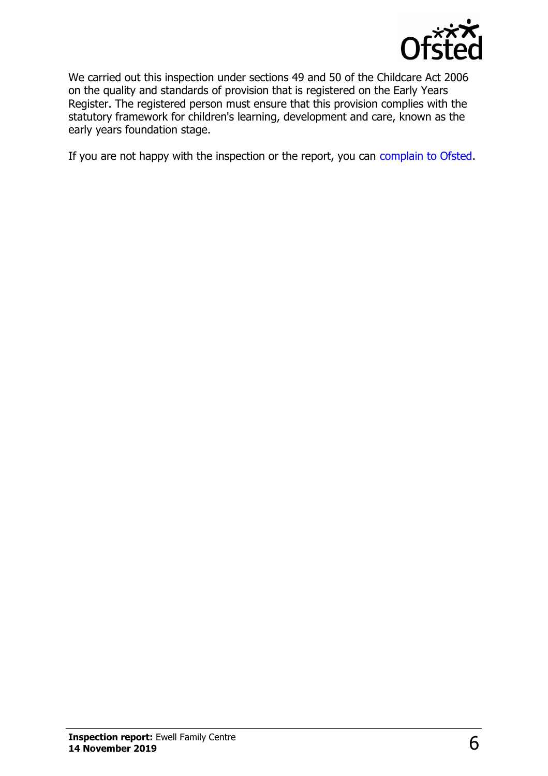

We carried out this inspection under sections 49 and 50 of the Childcare Act 2006 on the quality and standards of provision that is registered on the Early Years Register. The registered person must ensure that this provision complies with the statutory framework for children's learning, development and care, known as the early years foundation stage.

If you are not happy with the inspection or the report, you can [complain to Ofsted.](http://www.gov.uk/complain-ofsted-report)